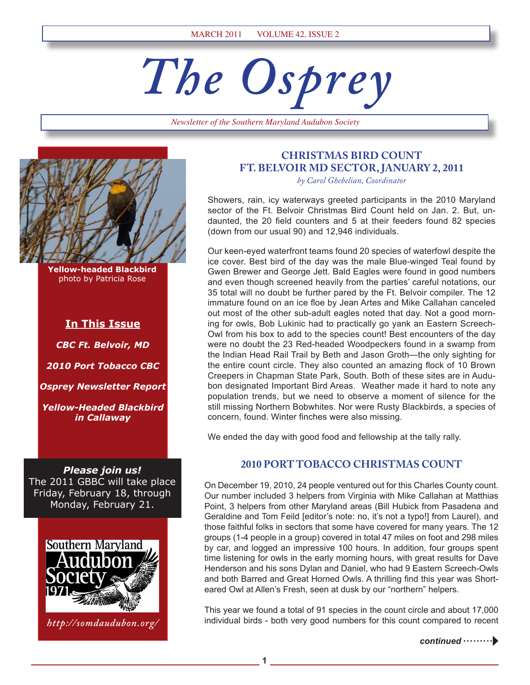# *The Osprey*

*Newsletter of the Southern Maryland Audubon Society*



**Yellow-headed Blackbird** photo by Patricia Rose

### **In This Issue**

*CBC Ft. Belvoir, MD 2010 Port Tobacco CBC Osprey Newsletter Report Yellow-Headed Blackbird in Callaway* 

*Please join us!*  The 2011 GBBC will take place Friday, February 18, through Monday, February 21.



*http://somdaudubon.org/*

### **CHRISTMAS BIRD COUNT FT. BELVOIR MD SECTOR, JANUARY 2, 2011**

*by Carol Ghebelian, Coordinator*

Showers, rain, icy waterways greeted participants in the 2010 Maryland sector of the Ft. Belvoir Christmas Bird Count held on Jan. 2. But, undaunted, the 20 field counters and 5 at their feeders found 82 species (down from our usual 90) and 12,946 individuals.

Our keen-eyed waterfront teams found 20 species of waterfowl despite the ice cover. Best bird of the day was the male Blue-winged Teal found by Gwen Brewer and George Jett. Bald Eagles were found in good numbers and even though screened heavily from the parties' careful notations, our 35 total will no doubt be further pared by the Ft. Belvoir compiler. The 12 immature found on an ice floe by Jean Artes and Mike Callahan canceled out most of the other sub-adult eagles noted that day. Not a good morning for owls, Bob Lukinic had to practically go yank an Eastern Screech-Owl from his box to add to the species count! Best encounters of the day were no doubt the 23 Red-headed Woodpeckers found in a swamp from the Indian Head Rail Trail by Beth and Jason Groth—the only sighting for the entire count circle. They also counted an amazing flock of 10 Brown Creepers in Chapman State Park, South. Both of these sites are in Audubon designated Important Bird Areas. Weather made it hard to note any population trends, but we need to observe a moment of silence for the still missing Northern Bobwhites. Nor were Rusty Blackbirds, a species of concern, found. Winter finches were also missing.

We ended the day with good food and fellowship at the tally rally.

### **2010 PORT TOBACCO CHRISTMAS COUNT**

On December 19, 2010, 24 people ventured out for this Charles County count. Our number included 3 helpers from Virginia with Mike Callahan at Matthias Point, 3 helpers from other Maryland areas (Bill Hubick from Pasadena and Geraldine and Tom Feild [editor's note: no, it's not a typo!] from Laurel), and those faithful folks in sectors that some have covered for many years. The 12 groups (1-4 people in a group) covered in total 47 miles on foot and 298 miles by car, and logged an impressive 100 hours. In addition, four groups spent time listening for owls in the early morning hours, with great results for Dave Henderson and his sons Dylan and Daniel, who had 9 Eastern Screech-Owls and both Barred and Great Horned Owls. A thrilling find this year was Shorteared Owl at Allen's Fresh, seen at dusk by our "northern" helpers.

This year we found a total of 91 species in the count circle and about 17,000 individual birds - both very good numbers for this count compared to recent

**1**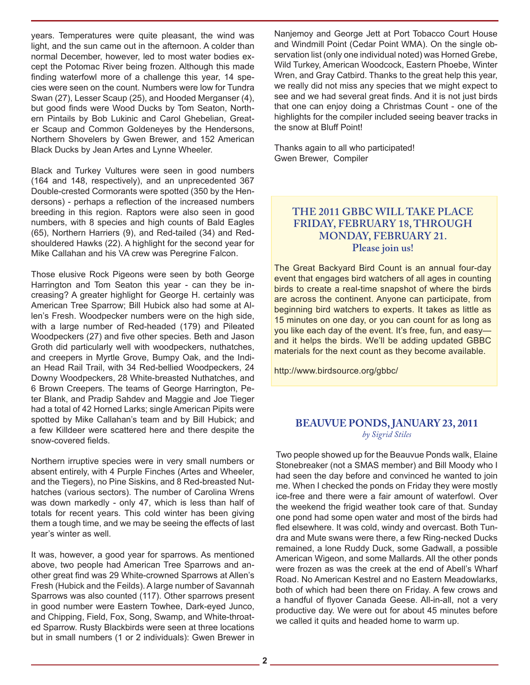years. Temperatures were quite pleasant, the wind was light, and the sun came out in the afternoon. A colder than normal December, however, led to most water bodies except the Potomac River being frozen. Although this made finding waterfowl more of a challenge this year, 14 species were seen on the count. Numbers were low for Tundra Swan (27), Lesser Scaup (25), and Hooded Merganser (4), but good finds were Wood Ducks by Tom Seaton, Northern Pintails by Bob Lukinic and Carol Ghebelian, Greater Scaup and Common Goldeneyes by the Hendersons, Northern Shovelers by Gwen Brewer, and 152 American Black Ducks by Jean Artes and Lynne Wheeler.

Black and Turkey Vultures were seen in good numbers (164 and 148, respectively), and an unprecedented 367 Double-crested Cormorants were spotted (350 by the Hendersons) - perhaps a reflection of the increased numbers breeding in this region. Raptors were also seen in good numbers, with 8 species and high counts of Bald Eagles (65), Northern Harriers (9), and Red-tailed (34) and Redshouldered Hawks (22). A highlight for the second year for Mike Callahan and his VA crew was Peregrine Falcon.

Those elusive Rock Pigeons were seen by both George Harrington and Tom Seaton this year - can they be increasing? A greater highlight for George H. certainly was American Tree Sparrow; Bill Hubick also had some at Allen's Fresh. Woodpecker numbers were on the high side, with a large number of Red-headed (179) and Pileated Woodpeckers (27) and five other species. Beth and Jason Groth did particularly well with woodpeckers, nuthatches, and creepers in Myrtle Grove, Bumpy Oak, and the Indian Head Rail Trail, with 34 Red-bellied Woodpeckers, 24 Downy Woodpeckers, 28 White-breasted Nuthatches, and 6 Brown Creepers. The teams of George Harrington, Peter Blank, and Pradip Sahdev and Maggie and Joe Tieger had a total of 42 Horned Larks; single American Pipits were spotted by Mike Callahan's team and by Bill Hubick; and a few Killdeer were scattered here and there despite the snow-covered fields.

Northern irruptive species were in very small numbers or absent entirely, with 4 Purple Finches (Artes and Wheeler, and the Tiegers), no Pine Siskins, and 8 Red-breasted Nuthatches (various sectors). The number of Carolina Wrens was down markedly - only 47, which is less than half of totals for recent years. This cold winter has been giving them a tough time, and we may be seeing the effects of last year's winter as well.

It was, however, a good year for sparrows. As mentioned above, two people had American Tree Sparrows and another great find was 29 White-crowned Sparrows at Allen's Fresh (Hubick and the Feilds). A large number of Savannah Sparrows was also counted (117). Other sparrows present in good number were Eastern Towhee, Dark-eyed Junco, and Chipping, Field, Fox, Song, Swamp, and White-throated Sparrow. Rusty Blackbirds were seen at three locations but in small numbers (1 or 2 individuals): Gwen Brewer in

Nanjemoy and George Jett at Port Tobacco Court House and Windmill Point (Cedar Point WMA). On the single observation list (only one individual noted) was Horned Grebe, Wild Turkey, American Woodcock, Eastern Phoebe, Winter Wren, and Gray Catbird. Thanks to the great help this year, we really did not miss any species that we might expect to see and we had several great finds. And it is not just birds that one can enjoy doing a Christmas Count - one of the highlights for the compiler included seeing beaver tracks in the snow at Bluff Point!

Thanks again to all who participated! Gwen Brewer, Compiler

# **THE 2011 GBBC WILL TAKE PLACE FRIDAY, FEBRUARY 18, THROUGH MONDAY, FEBRUARY 21. Please join us!**

The Great Backyard Bird Count is an annual four-day event that engages bird watchers of all ages in counting birds to create a real-time snapshot of where the birds are across the continent. Anyone can participate, from beginning bird watchers to experts. It takes as little as 15 minutes on one day, or you can count for as long as you like each day of the event. It's free, fun, and easy and it helps the birds. We'll be adding updated GBBC materials for the next count as they become available.

http://www.birdsource.org/gbbc/

### **BEAUVUE PONDS, JANUARY 23, 2011** *by Sigrid Stiles*

Two people showed up for the Beauvue Ponds walk, Elaine Stonebreaker (not a SMAS member) and Bill Moody who I had seen the day before and convinced he wanted to join me. When I checked the ponds on Friday they were mostly ice-free and there were a fair amount of waterfowl. Over the weekend the frigid weather took care of that. Sunday one pond had some open water and most of the birds had fled elsewhere. It was cold, windy and overcast. Both Tundra and Mute swans were there, a few Ring-necked Ducks remained, a lone Ruddy Duck, some Gadwall, a possible American Wigeon, and some Mallards. All the other ponds were frozen as was the creek at the end of Abell's Wharf Road. No American Kestrel and no Eastern Meadowlarks, both of which had been there on Friday. A few crows and a handful of flyover Canada Geese. All-in-all, not a very productive day. We were out for about 45 minutes before we called it quits and headed home to warm up.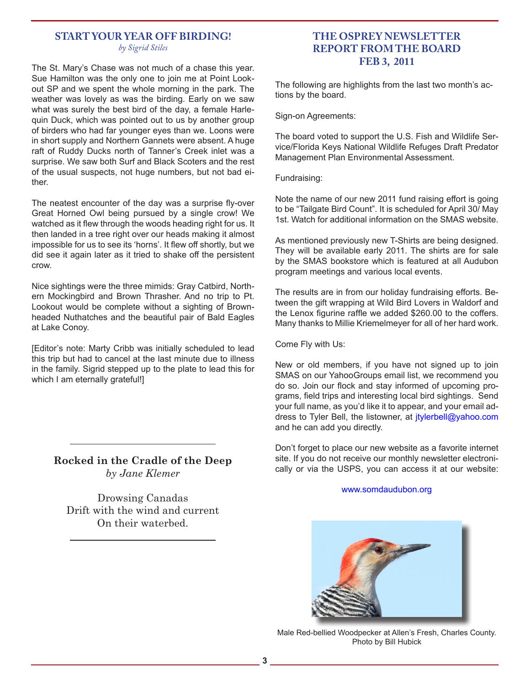### **START YOUR YEAR OFF BIRDING!** *by Sigrid Stiles*

The St. Mary's Chase was not much of a chase this year. Sue Hamilton was the only one to join me at Point Lookout SP and we spent the whole morning in the park. The weather was lovely as was the birding. Early on we saw what was surely the best bird of the day, a female Harlequin Duck, which was pointed out to us by another group of birders who had far younger eyes than we. Loons were in short supply and Northern Gannets were absent. A huge raft of Ruddy Ducks north of Tanner's Creek inlet was a surprise. We saw both Surf and Black Scoters and the rest of the usual suspects, not huge numbers, but not bad either.

The neatest encounter of the day was a surprise fly-over Great Horned Owl being pursued by a single crow! We watched as it flew through the woods heading right for us. It then landed in a tree right over our heads making it almost impossible for us to see its 'horns'. It flew off shortly, but we did see it again later as it tried to shake off the persistent crow.

Nice sightings were the three mimids: Gray Catbird, Northern Mockingbird and Brown Thrasher. And no trip to Pt. Lookout would be complete without a sighting of Brownheaded Nuthatches and the beautiful pair of Bald Eagles at Lake Conoy.

[Editor's note: Marty Cribb was initially scheduled to lead this trip but had to cancel at the last minute due to illness in the family. Sigrid stepped up to the plate to lead this for which I am eternally grateful!]

**Rocked in the Cradle of the Deep** *by Jane Klemer*

Drowsing Canadas Drift with the wind and current On their waterbed.

# **THE OSPREY NEWSLETTER REPORT FROM THE BOARD FEB 3, 2011**

The following are highlights from the last two month's actions by the board.

Sign-on Agreements:

The board voted to support the U.S. Fish and Wildlife Service/Florida Keys National Wildlife Refuges Draft Predator Management Plan Environmental Assessment.

Fundraising:

Note the name of our new 2011 fund raising effort is going to be "Tailgate Bird Count". It is scheduled for April 30/ May 1st. Watch for additional information on the SMAS website.

As mentioned previously new T-Shirts are being designed. They will be available early 2011. The shirts are for sale by the SMAS bookstore which is featured at all Audubon program meetings and various local events.

The results are in from our holiday fundraising efforts. Between the gift wrapping at Wild Bird Lovers in Waldorf and the Lenox figurine raffle we added \$260.00 to the coffers. Many thanks to Millie Kriemelmeyer for all of her hard work.

Come Fly with Us:

New or old members, if you have not signed up to join SMAS on our YahooGroups email list, we recommend you do so. Join our flock and stay informed of upcoming programs, field trips and interesting local bird sightings. Send your full name, as you'd like it to appear, and your email address to Tyler Bell, the listowner, at *itylerbell@yahoo.com* and he can add you directly.

Don't forget to place our new website as a favorite internet site. If you do not receive our monthly newsletter electronically or via the USPS, you can access it at our website:

www.somdaudubon.org



Male Red-bellied Woodpecker at Allen's Fresh, Charles County. Photo by Bill Hubick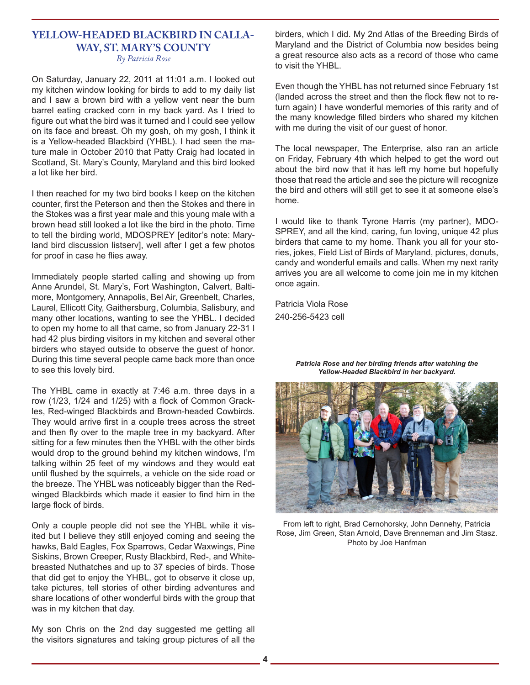### **YELLOW-HEADED BLACKBIRD IN CALLA-WAY, ST. MARY'S COUNTY** *By Patricia Rose*

On Saturday, January 22, 2011 at 11:01 a.m. I looked out my kitchen window looking for birds to add to my daily list and I saw a brown bird with a yellow vent near the burn barrel eating cracked corn in my back yard. As I tried to figure out what the bird was it turned and I could see yellow on its face and breast. Oh my gosh, oh my gosh, I think it is a Yellow-headed Blackbird (YHBL). I had seen the mature male in October 2010 that Patty Craig had located in Scotland, St. Mary's County, Maryland and this bird looked a lot like her bird.

I then reached for my two bird books I keep on the kitchen counter, first the Peterson and then the Stokes and there in the Stokes was a first year male and this young male with a brown head still looked a lot like the bird in the photo. Time to tell the birding world, MDOSPREY [editor's note: Maryland bird discussion listserv], well after I get a few photos for proof in case he flies away.

Immediately people started calling and showing up from Anne Arundel, St. Mary's, Fort Washington, Calvert, Baltimore, Montgomery, Annapolis, Bel Air, Greenbelt, Charles, Laurel, Ellicott City, Gaithersburg, Columbia, Salisbury, and many other locations, wanting to see the YHBL. I decided to open my home to all that came, so from January 22-31 I had 42 plus birding visitors in my kitchen and several other birders who stayed outside to observe the guest of honor. During this time several people came back more than once to see this lovely bird.

The YHBL came in exactly at 7:46 a.m. three days in a row (1/23, 1/24 and 1/25) with a flock of Common Grackles, Red-winged Blackbirds and Brown-headed Cowbirds. They would arrive first in a couple trees across the street and then fly over to the maple tree in my backyard. After sitting for a few minutes then the YHBL with the other birds would drop to the ground behind my kitchen windows, I'm talking within 25 feet of my windows and they would eat until flushed by the squirrels, a vehicle on the side road or the breeze. The YHBL was noticeably bigger than the Redwinged Blackbirds which made it easier to find him in the large flock of birds.

Only a couple people did not see the YHBL while it visited but I believe they still enjoyed coming and seeing the hawks, Bald Eagles, Fox Sparrows, Cedar Waxwings, Pine Siskins, Brown Creeper, Rusty Blackbird, Red-, and Whitebreasted Nuthatches and up to 37 species of birds. Those that did get to enjoy the YHBL, got to observe it close up, take pictures, tell stories of other birding adventures and share locations of other wonderful birds with the group that was in my kitchen that day.

My son Chris on the 2nd day suggested me getting all the visitors signatures and taking group pictures of all the birders, which I did. My 2nd Atlas of the Breeding Birds of Maryland and the District of Columbia now besides being a great resource also acts as a record of those who came to visit the YHBL.

Even though the YHBL has not returned since February 1st (landed across the street and then the flock flew not to return again) I have wonderful memories of this rarity and of the many knowledge filled birders who shared my kitchen with me during the visit of our guest of honor.

The local newspaper, The Enterprise, also ran an article on Friday, February 4th which helped to get the word out about the bird now that it has left my home but hopefully those that read the article and see the picture will recognize the bird and others will still get to see it at someone else's home.

I would like to thank Tyrone Harris (my partner), MDO-SPREY, and all the kind, caring, fun loving, unique 42 plus birders that came to my home. Thank you all for your stories, jokes, Field List of Birds of Maryland, pictures, donuts, candy and wonderful emails and calls. When my next rarity arrives you are all welcome to come join me in my kitchen once again.

Patricia Viola Rose 240-256-5423 cell

*Patricia Rose and her birding friends after watching the Yellow-Headed Blackbird in her backyard.*



From left to right, Brad Cernohorsky, John Dennehy, Patricia Rose, Jim Green, Stan Arnold, Dave Brenneman and Jim Stasz. Photo by Joe Hanfman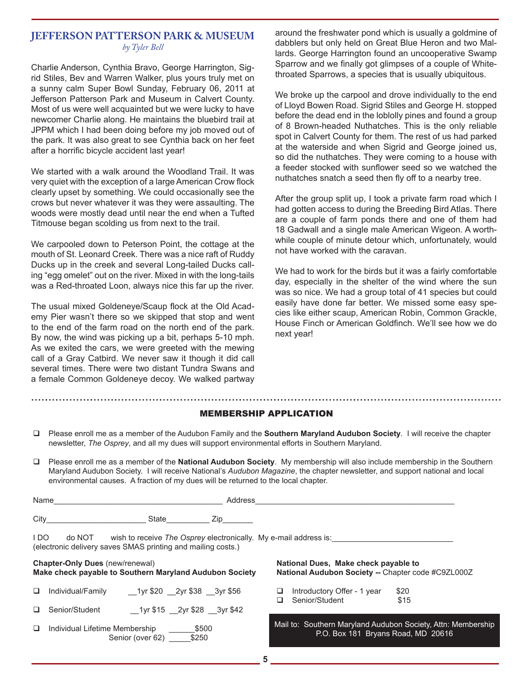### **JEFFERSON PATTERSON PARK & MUSEUM** *by Tyler Bell*

Charlie Anderson, Cynthia Bravo, George Harrington, Sigrid Stiles, Bev and Warren Walker, plus yours truly met on a sunny calm Super Bowl Sunday, February 06, 2011 at Jefferson Patterson Park and Museum in Calvert County. Most of us were well acquainted but we were lucky to have newcomer Charlie along. He maintains the bluebird trail at JPPM which I had been doing before my job moved out of the park. It was also great to see Cynthia back on her feet after a horrific bicycle accident last year!

We started with a walk around the Woodland Trail. It was very quiet with the exception of a large American Crow flock clearly upset by something. We could occasionally see the crows but never whatever it was they were assaulting. The woods were mostly dead until near the end when a Tufted Titmouse began scolding us from next to the trail.

We carpooled down to Peterson Point, the cottage at the mouth of St. Leonard Creek. There was a nice raft of Ruddy Ducks up in the creek and several Long-tailed Ducks calling "egg omelet" out on the river. Mixed in with the long-tails was a Red-throated Loon, always nice this far up the river.

The usual mixed Goldeneye/Scaup flock at the Old Academy Pier wasn't there so we skipped that stop and went to the end of the farm road on the north end of the park. By now, the wind was picking up a bit, perhaps 5-10 mph. As we exited the cars, we were greeted with the mewing call of a Gray Catbird. We never saw it though it did call several times. There were two distant Tundra Swans and a female Common Goldeneye decoy. We walked partway

around the freshwater pond which is usually a goldmine of dabblers but only held on Great Blue Heron and two Mallards. George Harrington found an uncooperative Swamp Sparrow and we finally got glimpses of a couple of Whitethroated Sparrows, a species that is usually ubiquitous.

We broke up the carpool and drove individually to the end of Lloyd Bowen Road. Sigrid Stiles and George H. stopped before the dead end in the loblolly pines and found a group of 8 Brown-headed Nuthatches. This is the only reliable spot in Calvert County for them. The rest of us had parked at the waterside and when Sigrid and George joined us, so did the nuthatches. They were coming to a house with a feeder stocked with sunflower seed so we watched the nuthatches snatch a seed then fly off to a nearby tree.

After the group split up, I took a private farm road which I had gotten access to during the Breeding Bird Atlas. There are a couple of farm ponds there and one of them had 18 Gadwall and a single male American Wigeon. A worthwhile couple of minute detour which, unfortunately, would not have worked with the caravan.

We had to work for the birds but it was a fairly comfortable day, especially in the shelter of the wind where the sun was so nice. We had a group total of 41 species but could easily have done far better. We missed some easy species like either scaup, American Robin, Common Grackle, House Finch or American Goldfinch. We'll see how we do next year!

### MEMBERSHIP APPLICATION

- Please enroll me as a member of the Audubon Family and the **Southern Maryland Audubon Society**. I will receive the chapter newsletter, *The Osprey*, and all my dues will support environmental efforts in Southern Maryland.
- Please enroll me as a member of the **National Audubon Society**. My membership will also include membership in the Southern Maryland Audubon Society. I will receive National's *Audubon Magazine*, the chapter newsletter, and support national and local environmental causes. A fraction of my dues will be returned to the local chapter.

| Name   |                                                                                                   |                                                                  | Address |                                                                                                    |                |                                      |                                                    |  |
|--------|---------------------------------------------------------------------------------------------------|------------------------------------------------------------------|---------|----------------------------------------------------------------------------------------------------|----------------|--------------------------------------|----------------------------------------------------|--|
| City   |                                                                                                   | State<br>Zip                                                     |         |                                                                                                    |                |                                      |                                                    |  |
| I DO   | do NOT<br>(electronic delivery saves SMAS printing and mailing costs.)                            | wish to receive The Osprey electronically. My e-mail address is: |         |                                                                                                    |                |                                      |                                                    |  |
|        | <b>Chapter-Only Dues (new/renewal)</b><br>Make check payable to Southern Maryland Audubon Society |                                                                  |         |                                                                                                    |                | National Dues, Make check payable to | National Audubon Society -- Chapter code #C9ZL000Z |  |
| $\Box$ | Individual/Family                                                                                 | 1yr \$20 2yr \$38 3yr \$56                                       |         | ⊔<br>ப                                                                                             | Senior/Student | Introductory Offer - 1 year          | \$20<br>\$15                                       |  |
| $\Box$ | Senior/Student                                                                                    | 1yr \$15 2yr \$28 3yr \$42                                       |         |                                                                                                    |                |                                      |                                                    |  |
|        | $\Box$ Individual Lifetime Membership<br>Senior (over 62)                                         |                                                                  |         | Mail to: Southern Maryland Audubon Society, Attn: Membership<br>P.O. Box 181 Bryans Road, MD 20616 |                |                                      |                                                    |  |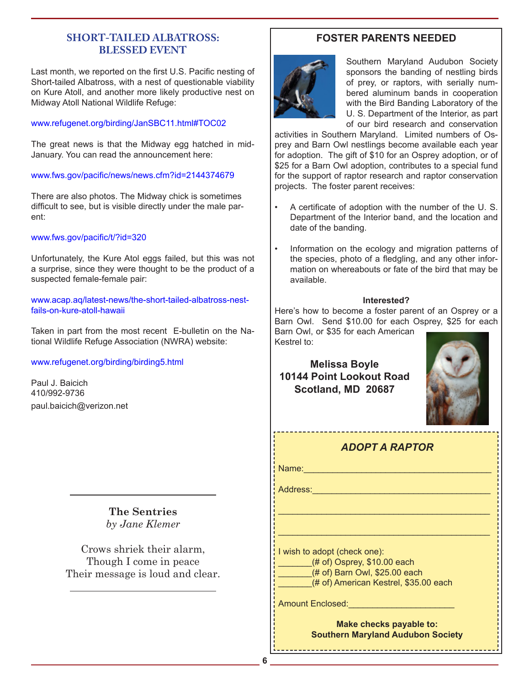# **SHORT-TAILED ALBATROSS: BLESSED EVENT**

Last month, we reported on the first U.S. Pacific nesting of Short-tailed Albatross, with a nest of questionable viability on Kure Atoll, and another more likely productive nest on Midway Atoll National Wildlife Refuge:

### www.refugenet.org/birding/JanSBC11.html#TOC02

The great news is that the Midway egg hatched in mid-January. You can read the announcement here:

### www.fws.gov/pacific/news/news.cfm?id=2144374679

There are also photos. The Midway chick is sometimes difficult to see, but is visible directly under the male parent:

### www.fws.gov/pacific/t/?id=320

Unfortunately, the Kure Atol eggs failed, but this was not a surprise, since they were thought to be the product of a suspected female-female pair:

www.acap.aq/latest-news/the-short-tailed-albatross-nestfails-on-kure-atoll-hawaii

Taken in part from the most recent E-bulletin on the National Wildlife Refuge Association (NWRA) website:

### www.refugenet.org/birding/birding5.html

Paul J. Baicich 410/992-9736 paul.baicich@verizon.net

> **The Sentries** *by Jane Klemer*

Crows shriek their alarm, Though I come in peace Their message is loud and clear.

# **FOSTER PARENTS NEEDED**



Southern Maryland Audubon Society sponsors the banding of nestling birds of prey, or raptors, with serially numbered aluminum bands in cooperation with the Bird Banding Laboratory of the U. S. Department of the Interior, as part of our bird research and conservation

activities in Southern Maryland. Limited numbers of Osprey and Barn Owl nestlings become available each year for adoption. The gift of \$10 for an Osprey adoption, or of \$25 for a Barn Owl adoption, contributes to a special fund for the support of raptor research and raptor conservation projects. The foster parent receives:

- A certificate of adoption with the number of the U. S. Department of the Interior band, and the location and date of the banding.
- Information on the ecology and migration patterns of the species, photo of a fledgling, and any other information on whereabouts or fate of the bird that may be available.

### **Interested?**

Here's how to become a foster parent of an Osprey or a Barn Owl. Send \$10.00 for each Osprey, \$25 for each

Barn Owl, or \$35 for each American Kestrel to:

# **Melissa Boyle 10144 Point Lookout Road Scotland, MD 20687**



# *ADOPT A RAPTOR*

\_\_\_\_\_\_\_\_\_\_\_\_\_\_\_\_\_\_\_\_\_\_\_\_\_\_\_\_\_\_\_\_\_\_\_\_\_\_\_\_\_\_\_\_

\_\_\_\_\_\_\_\_\_\_\_\_\_\_\_\_\_\_\_\_\_\_\_\_\_\_\_\_\_\_\_\_\_\_\_\_\_\_\_\_\_\_\_\_

Name:\_\_\_\_\_\_\_\_\_\_\_\_\_\_\_\_\_\_\_\_\_\_\_\_\_\_\_\_\_\_\_\_\_\_\_\_\_\_\_

Address:\_\_\_\_\_\_\_\_\_\_\_\_\_\_\_\_\_\_\_\_\_\_\_\_\_\_\_\_\_\_\_\_\_\_\_\_\_

I wish to adopt (check one):  $#$  of) Osprey, \$10.00 each \_\_\_\_\_\_\_(# of) Barn Owl, \$25.00 each

(# of) American Kestrel, \$35.00 each

Amount Enclosed:\_\_\_\_\_\_\_\_\_\_\_\_\_\_\_\_\_\_\_\_\_\_

**Make checks payable to: Southern Maryland Audubon Society**